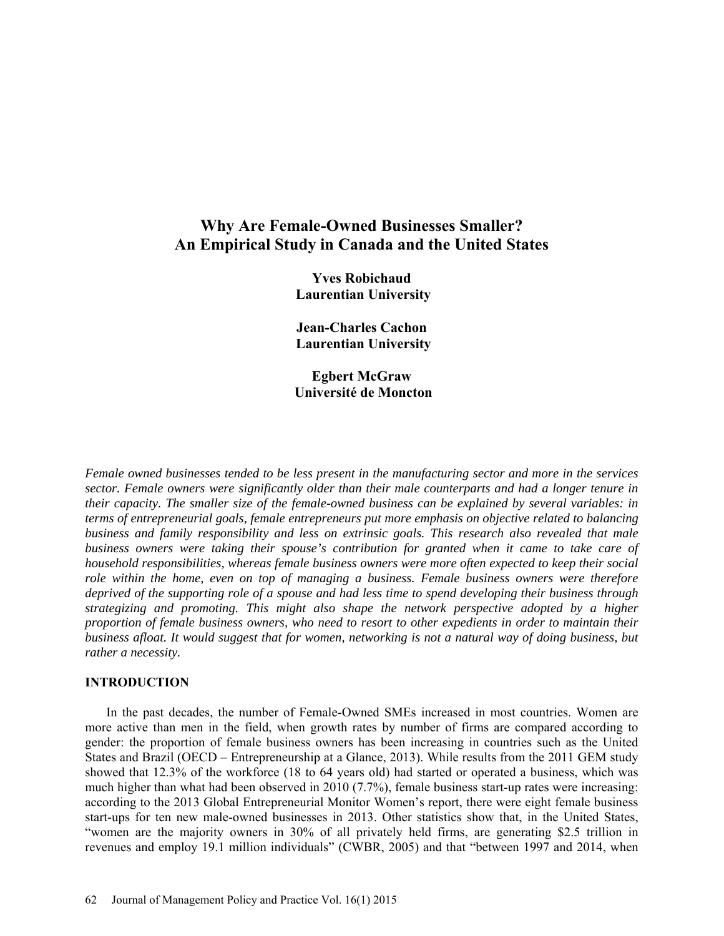# **Why Are Female-Owned Businesses Smaller? An Empirical Study in Canada and the United States**

**Yves Robichaud Laurentian University** 

**Jean-Charles Cachon Laurentian University** 

**Egbert McGraw Université de Moncton** 

*Female owned businesses tended to be less present in the manufacturing sector and more in the services sector. Female owners were significantly older than their male counterparts and had a longer tenure in their capacity. The smaller size of the female-owned business can be explained by several variables: in terms of entrepreneurial goals, female entrepreneurs put more emphasis on objective related to balancing business and family responsibility and less on extrinsic goals. This research also revealed that male business owners were taking their spouse's contribution for granted when it came to take care of household responsibilities, whereas female business owners were more often expected to keep their social role within the home, even on top of managing a business. Female business owners were therefore deprived of the supporting role of a spouse and had less time to spend developing their business through strategizing and promoting. This might also shape the network perspective adopted by a higher proportion of female business owners, who need to resort to other expedients in order to maintain their business afloat. It would suggest that for women, networking is not a natural way of doing business, but rather a necessity.* 

## **INTRODUCTION**

In the past decades, the number of Female-Owned SMEs increased in most countries. Women are more active than men in the field, when growth rates by number of firms are compared according to gender: the proportion of female business owners has been increasing in countries such as the United States and Brazil (OECD – Entrepreneurship at a Glance, 2013). While results from the 2011 GEM study showed that 12.3% of the workforce (18 to 64 years old) had started or operated a business, which was much higher than what had been observed in 2010 (7.7%), female business start-up rates were increasing: according to the 2013 Global Entrepreneurial Monitor Women's report, there were eight female business start-ups for ten new male-owned businesses in 2013. Other statistics show that, in the United States, "women are the majority owners in 30% of all privately held firms, are generating \$2.5 trillion in revenues and employ 19.1 million individuals" (CWBR, 2005) and that "between 1997 and 2014, when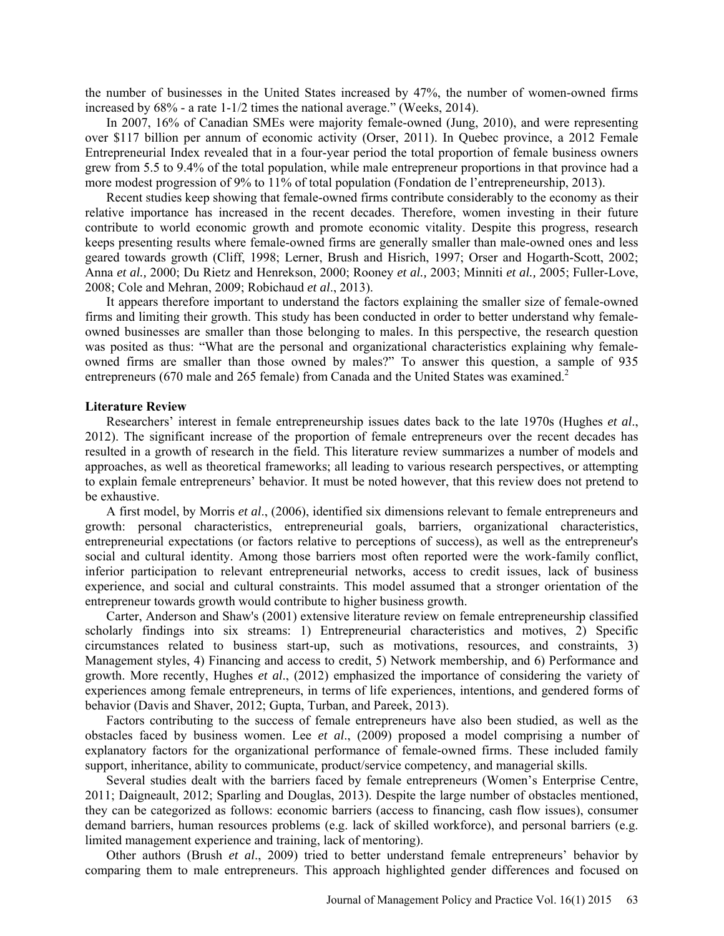the number of businesses in the United States increased by 47%, the number of women-owned firms increased by 68% - a rate 1-1/2 times the national average." (Weeks, 2014).

In 2007, 16% of Canadian SMEs were majority female-owned (Jung, 2010), and were representing over \$117 billion per annum of economic activity (Orser, 2011). In Quebec province, a 2012 Female Entrepreneurial Index revealed that in a four-year period the total proportion of female business owners grew from 5.5 to 9.4% of the total population, while male entrepreneur proportions in that province had a more modest progression of 9% to 11% of total population (Fondation de l'entrepreneurship, 2013).

Recent studies keep showing that female-owned firms contribute considerably to the economy as their relative importance has increased in the recent decades. Therefore, women investing in their future contribute to world economic growth and promote economic vitality. Despite this progress, research keeps presenting results where female-owned firms are generally smaller than male-owned ones and less geared towards growth (Cliff, 1998; Lerner, Brush and Hisrich, 1997; Orser and Hogarth-Scott, 2002; Anna *et al.,* 2000; Du Rietz and Henrekson, 2000; Rooney *et al.,* 2003; Minniti *et al.,* 2005; Fuller-Love, 2008; Cole and Mehran, 2009; Robichaud *et al*., 2013).

It appears therefore important to understand the factors explaining the smaller size of female-owned firms and limiting their growth. This study has been conducted in order to better understand why femaleowned businesses are smaller than those belonging to males. In this perspective, the research question was posited as thus: "What are the personal and organizational characteristics explaining why femaleowned firms are smaller than those owned by males?" To answer this question, a sample of 935 entrepreneurs (670 male and 265 female) from Canada and the United States was examined.<sup>2</sup>

#### **Literature Review**

Researchers' interest in female entrepreneurship issues dates back to the late 1970s (Hughes *et al*., 2012). The significant increase of the proportion of female entrepreneurs over the recent decades has resulted in a growth of research in the field. This literature review summarizes a number of models and approaches, as well as theoretical frameworks; all leading to various research perspectives, or attempting to explain female entrepreneurs' behavior. It must be noted however, that this review does not pretend to be exhaustive.

A first model, by Morris *et al*., (2006), identified six dimensions relevant to female entrepreneurs and growth: personal characteristics, entrepreneurial goals, barriers, organizational characteristics, entrepreneurial expectations (or factors relative to perceptions of success), as well as the entrepreneur's social and cultural identity. Among those barriers most often reported were the work-family conflict, inferior participation to relevant entrepreneurial networks, access to credit issues, lack of business experience, and social and cultural constraints. This model assumed that a stronger orientation of the entrepreneur towards growth would contribute to higher business growth.

Carter, Anderson and Shaw's (2001) extensive literature review on female entrepreneurship classified scholarly findings into six streams: 1) Entrepreneurial characteristics and motives, 2) Specific circumstances related to business start-up, such as motivations, resources, and constraints, 3) Management styles, 4) Financing and access to credit, 5) Network membership, and 6) Performance and growth. More recently, Hughes *et al*., (2012) emphasized the importance of considering the variety of experiences among female entrepreneurs, in terms of life experiences, intentions, and gendered forms of behavior (Davis and Shaver, 2012; Gupta, Turban, and Pareek, 2013).

Factors contributing to the success of female entrepreneurs have also been studied, as well as the obstacles faced by business women. Lee *et al*., (2009) proposed a model comprising a number of explanatory factors for the organizational performance of female-owned firms. These included family support, inheritance, ability to communicate, product/service competency, and managerial skills.

Several studies dealt with the barriers faced by female entrepreneurs (Women's Enterprise Centre, 2011; Daigneault, 2012; Sparling and Douglas, 2013). Despite the large number of obstacles mentioned, they can be categorized as follows: economic barriers (access to financing, cash flow issues), consumer demand barriers, human resources problems (e.g. lack of skilled workforce), and personal barriers (e.g. limited management experience and training, lack of mentoring).

Other authors (Brush *et al*., 2009) tried to better understand female entrepreneurs' behavior by comparing them to male entrepreneurs. This approach highlighted gender differences and focused on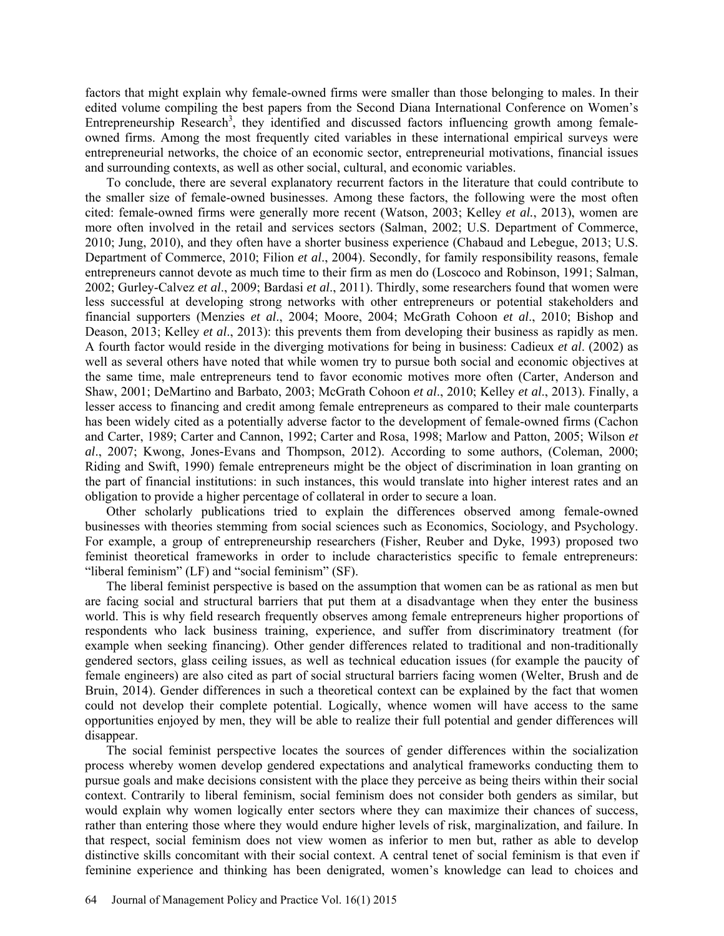factors that might explain why female-owned firms were smaller than those belonging to males. In their edited volume compiling the best papers from the Second Diana International Conference on Women's Entrepreneurship Research<sup>3</sup>, they identified and discussed factors influencing growth among femaleowned firms. Among the most frequently cited variables in these international empirical surveys were entrepreneurial networks, the choice of an economic sector, entrepreneurial motivations, financial issues and surrounding contexts, as well as other social, cultural, and economic variables.

To conclude, there are several explanatory recurrent factors in the literature that could contribute to the smaller size of female-owned businesses. Among these factors, the following were the most often cited: female-owned firms were generally more recent (Watson, 2003; Kelley *et al.*, 2013), women are more often involved in the retail and services sectors (Salman, 2002; U.S. Department of Commerce, 2010; Jung, 2010), and they often have a shorter business experience (Chabaud and Lebegue, 2013; U.S. Department of Commerce, 2010; Filion *et al*., 2004). Secondly, for family responsibility reasons, female entrepreneurs cannot devote as much time to their firm as men do (Loscoco and Robinson, 1991; Salman, 2002; Gurley-Calvez *et al*., 2009; Bardasi *et al*., 2011). Thirdly, some researchers found that women were less successful at developing strong networks with other entrepreneurs or potential stakeholders and financial supporters (Menzies *et al*., 2004; Moore, 2004; McGrath Cohoon *et al*., 2010; Bishop and Deason, 2013; Kelley *et al*., 2013): this prevents them from developing their business as rapidly as men. A fourth factor would reside in the diverging motivations for being in business: Cadieux *et al*. (2002) as well as several others have noted that while women try to pursue both social and economic objectives at the same time, male entrepreneurs tend to favor economic motives more often (Carter, Anderson and Shaw, 2001; DeMartino and Barbato, 2003; McGrath Cohoon *et al*., 2010; Kelley *et al*., 2013). Finally, a lesser access to financing and credit among female entrepreneurs as compared to their male counterparts has been widely cited as a potentially adverse factor to the development of female-owned firms (Cachon and Carter, 1989; Carter and Cannon, 1992; Carter and Rosa, 1998; Marlow and Patton, 2005; Wilson *et al*., 2007; Kwong, Jones-Evans and Thompson, 2012). According to some authors, (Coleman, 2000; Riding and Swift, 1990) female entrepreneurs might be the object of discrimination in loan granting on the part of financial institutions: in such instances, this would translate into higher interest rates and an obligation to provide a higher percentage of collateral in order to secure a loan.

Other scholarly publications tried to explain the differences observed among female-owned businesses with theories stemming from social sciences such as Economics, Sociology, and Psychology. For example, a group of entrepreneurship researchers (Fisher, Reuber and Dyke, 1993) proposed two feminist theoretical frameworks in order to include characteristics specific to female entrepreneurs: "liberal feminism" (LF) and "social feminism" (SF).

The liberal feminist perspective is based on the assumption that women can be as rational as men but are facing social and structural barriers that put them at a disadvantage when they enter the business world. This is why field research frequently observes among female entrepreneurs higher proportions of respondents who lack business training, experience, and suffer from discriminatory treatment (for example when seeking financing). Other gender differences related to traditional and non-traditionally gendered sectors, glass ceiling issues, as well as technical education issues (for example the paucity of female engineers) are also cited as part of social structural barriers facing women (Welter, Brush and de Bruin, 2014). Gender differences in such a theoretical context can be explained by the fact that women could not develop their complete potential. Logically, whence women will have access to the same opportunities enjoyed by men, they will be able to realize their full potential and gender differences will disappear.

The social feminist perspective locates the sources of gender differences within the socialization process whereby women develop gendered expectations and analytical frameworks conducting them to pursue goals and make decisions consistent with the place they perceive as being theirs within their social context. Contrarily to liberal feminism, social feminism does not consider both genders as similar, but would explain why women logically enter sectors where they can maximize their chances of success, rather than entering those where they would endure higher levels of risk, marginalization, and failure. In that respect, social feminism does not view women as inferior to men but, rather as able to develop distinctive skills concomitant with their social context. A central tenet of social feminism is that even if feminine experience and thinking has been denigrated, women's knowledge can lead to choices and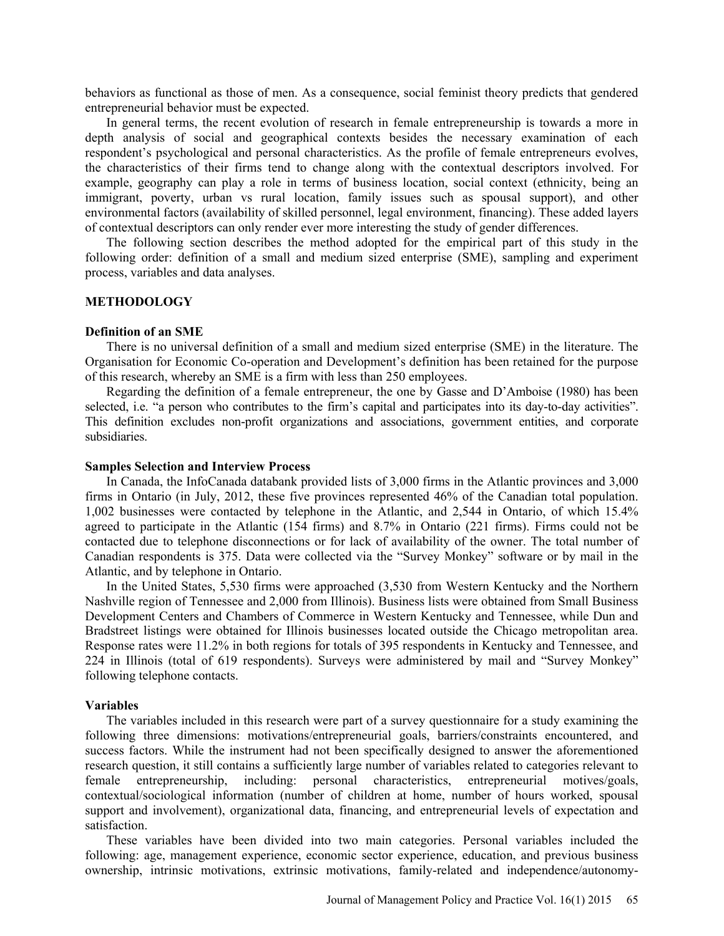behaviors as functional as those of men. As a consequence, social feminist theory predicts that gendered entrepreneurial behavior must be expected.

In general terms, the recent evolution of research in female entrepreneurship is towards a more in depth analysis of social and geographical contexts besides the necessary examination of each respondent's psychological and personal characteristics. As the profile of female entrepreneurs evolves, the characteristics of their firms tend to change along with the contextual descriptors involved. For example, geography can play a role in terms of business location, social context (ethnicity, being an immigrant, poverty, urban vs rural location, family issues such as spousal support), and other environmental factors (availability of skilled personnel, legal environment, financing). These added layers of contextual descriptors can only render ever more interesting the study of gender differences.

The following section describes the method adopted for the empirical part of this study in the following order: definition of a small and medium sized enterprise (SME), sampling and experiment process, variables and data analyses.

## **METHODOLOGY**

#### **Definition of an SME**

There is no universal definition of a small and medium sized enterprise (SME) in the literature. The Organisation for Economic Co-operation and Development's definition has been retained for the purpose of this research, whereby an SME is a firm with less than 250 employees.

Regarding the definition of a female entrepreneur, the one by Gasse and D'Amboise (1980) has been selected, i.e. "a person who contributes to the firm's capital and participates into its day-to-day activities". This definition excludes non-profit organizations and associations, government entities, and corporate subsidiaries.

#### **Samples Selection and Interview Process**

In Canada, the InfoCanada databank provided lists of 3,000 firms in the Atlantic provinces and 3,000 firms in Ontario (in July, 2012, these five provinces represented 46% of the Canadian total population. 1,002 businesses were contacted by telephone in the Atlantic, and 2,544 in Ontario, of which 15.4% agreed to participate in the Atlantic (154 firms) and 8.7% in Ontario (221 firms). Firms could not be contacted due to telephone disconnections or for lack of availability of the owner. The total number of Canadian respondents is 375. Data were collected via the "Survey Monkey" software or by mail in the Atlantic, and by telephone in Ontario.

In the United States, 5,530 firms were approached (3,530 from Western Kentucky and the Northern Nashville region of Tennessee and 2,000 from Illinois). Business lists were obtained from Small Business Development Centers and Chambers of Commerce in Western Kentucky and Tennessee, while Dun and Bradstreet listings were obtained for Illinois businesses located outside the Chicago metropolitan area. Response rates were 11.2% in both regions for totals of 395 respondents in Kentucky and Tennessee, and 224 in Illinois (total of 619 respondents). Surveys were administered by mail and "Survey Monkey" following telephone contacts.

#### **Variables**

The variables included in this research were part of a survey questionnaire for a study examining the following three dimensions: motivations/entrepreneurial goals, barriers/constraints encountered, and success factors. While the instrument had not been specifically designed to answer the aforementioned research question, it still contains a sufficiently large number of variables related to categories relevant to female entrepreneurship, including: personal characteristics, entrepreneurial motives/goals, contextual/sociological information (number of children at home, number of hours worked, spousal support and involvement), organizational data, financing, and entrepreneurial levels of expectation and satisfaction.

These variables have been divided into two main categories. Personal variables included the following: age, management experience, economic sector experience, education, and previous business ownership, intrinsic motivations, extrinsic motivations, family-related and independence/autonomy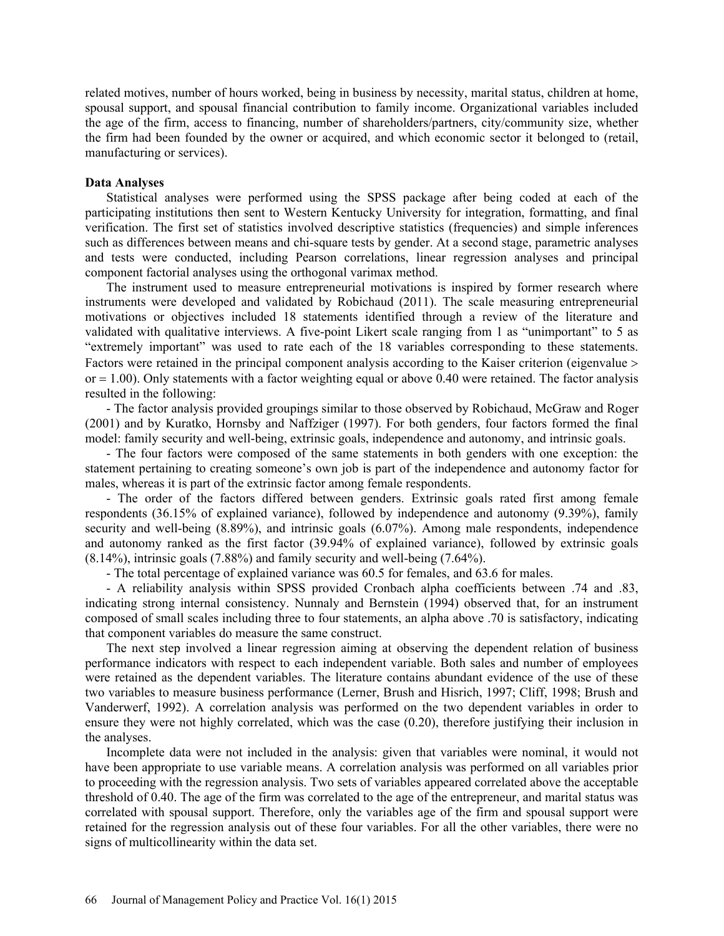related motives, number of hours worked, being in business by necessity, marital status, children at home, spousal support, and spousal financial contribution to family income. Organizational variables included the age of the firm, access to financing, number of shareholders/partners, city/community size, whether the firm had been founded by the owner or acquired, and which economic sector it belonged to (retail, manufacturing or services).

## **Data Analyses**

Statistical analyses were performed using the SPSS package after being coded at each of the participating institutions then sent to Western Kentucky University for integration, formatting, and final verification. The first set of statistics involved descriptive statistics (frequencies) and simple inferences such as differences between means and chi-square tests by gender. At a second stage, parametric analyses and tests were conducted, including Pearson correlations, linear regression analyses and principal component factorial analyses using the orthogonal varimax method.

The instrument used to measure entrepreneurial motivations is inspired by former research where instruments were developed and validated by Robichaud (2011). The scale measuring entrepreneurial motivations or objectives included 18 statements identified through a review of the literature and validated with qualitative interviews. A five-point Likert scale ranging from 1 as "unimportant" to 5 as "extremely important" was used to rate each of the 18 variables corresponding to these statements. Factors were retained in the principal component analysis according to the Kaiser criterion (eigenvalue >  $or = 1.00$ ). Only statements with a factor weighting equal or above 0.40 were retained. The factor analysis resulted in the following:

- The factor analysis provided groupings similar to those observed by Robichaud, McGraw and Roger (2001) and by Kuratko, Hornsby and Naffziger (1997). For both genders, four factors formed the final model: family security and well-being, extrinsic goals, independence and autonomy, and intrinsic goals.

- The four factors were composed of the same statements in both genders with one exception: the statement pertaining to creating someone's own job is part of the independence and autonomy factor for males, whereas it is part of the extrinsic factor among female respondents.

- The order of the factors differed between genders. Extrinsic goals rated first among female respondents (36.15% of explained variance), followed by independence and autonomy (9.39%), family security and well-being (8.89%), and intrinsic goals (6.07%). Among male respondents, independence and autonomy ranked as the first factor (39.94% of explained variance), followed by extrinsic goals (8.14%), intrinsic goals (7.88%) and family security and well-being (7.64%).

- The total percentage of explained variance was 60.5 for females, and 63.6 for males.

- A reliability analysis within SPSS provided Cronbach alpha coefficients between .74 and .83, indicating strong internal consistency. Nunnaly and Bernstein (1994) observed that, for an instrument composed of small scales including three to four statements, an alpha above .70 is satisfactory, indicating that component variables do measure the same construct.

The next step involved a linear regression aiming at observing the dependent relation of business performance indicators with respect to each independent variable. Both sales and number of employees were retained as the dependent variables. The literature contains abundant evidence of the use of these two variables to measure business performance (Lerner, Brush and Hisrich, 1997; Cliff, 1998; Brush and Vanderwerf, 1992). A correlation analysis was performed on the two dependent variables in order to ensure they were not highly correlated, which was the case (0.20), therefore justifying their inclusion in the analyses.

Incomplete data were not included in the analysis: given that variables were nominal, it would not have been appropriate to use variable means. A correlation analysis was performed on all variables prior to proceeding with the regression analysis. Two sets of variables appeared correlated above the acceptable threshold of 0.40. The age of the firm was correlated to the age of the entrepreneur, and marital status was correlated with spousal support. Therefore, only the variables age of the firm and spousal support were retained for the regression analysis out of these four variables. For all the other variables, there were no signs of multicollinearity within the data set.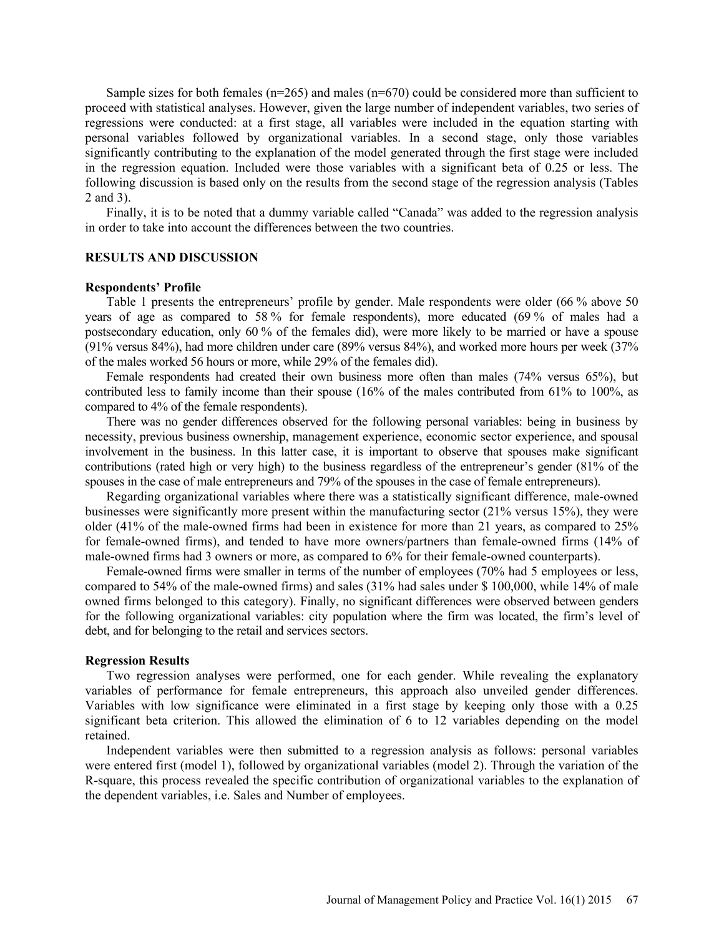Sample sizes for both females ( $n=265$ ) and males ( $n=670$ ) could be considered more than sufficient to proceed with statistical analyses. However, given the large number of independent variables, two series of regressions were conducted: at a first stage, all variables were included in the equation starting with personal variables followed by organizational variables. In a second stage, only those variables significantly contributing to the explanation of the model generated through the first stage were included in the regression equation. Included were those variables with a significant beta of 0.25 or less. The following discussion is based only on the results from the second stage of the regression analysis (Tables 2 and 3).

Finally, it is to be noted that a dummy variable called "Canada" was added to the regression analysis in order to take into account the differences between the two countries.

#### **RESULTS AND DISCUSSION**

#### **Respondents' Profile**

Table 1 presents the entrepreneurs' profile by gender. Male respondents were older (66 % above 50 years of age as compared to 58 % for female respondents), more educated (69 % of males had a postsecondary education, only 60 % of the females did), were more likely to be married or have a spouse (91% versus 84%), had more children under care (89% versus 84%), and worked more hours per week (37% of the males worked 56 hours or more, while 29% of the females did).

Female respondents had created their own business more often than males (74% versus 65%), but contributed less to family income than their spouse (16% of the males contributed from 61% to 100%, as compared to 4% of the female respondents).

There was no gender differences observed for the following personal variables: being in business by necessity, previous business ownership, management experience, economic sector experience, and spousal involvement in the business. In this latter case, it is important to observe that spouses make significant contributions (rated high or very high) to the business regardless of the entrepreneur's gender (81% of the spouses in the case of male entrepreneurs and 79% of the spouses in the case of female entrepreneurs).

Regarding organizational variables where there was a statistically significant difference, male-owned businesses were significantly more present within the manufacturing sector (21% versus 15%), they were older (41% of the male-owned firms had been in existence for more than 21 years, as compared to 25% for female-owned firms), and tended to have more owners/partners than female-owned firms (14% of male-owned firms had 3 owners or more, as compared to 6% for their female-owned counterparts).

Female-owned firms were smaller in terms of the number of employees (70% had 5 employees or less, compared to 54% of the male-owned firms) and sales (31% had sales under \$ 100,000, while 14% of male owned firms belonged to this category). Finally, no significant differences were observed between genders for the following organizational variables: city population where the firm was located, the firm's level of debt, and for belonging to the retail and services sectors.

#### **Regression Results**

Two regression analyses were performed, one for each gender. While revealing the explanatory variables of performance for female entrepreneurs, this approach also unveiled gender differences. Variables with low significance were eliminated in a first stage by keeping only those with a 0.25 significant beta criterion. This allowed the elimination of 6 to 12 variables depending on the model retained.

Independent variables were then submitted to a regression analysis as follows: personal variables were entered first (model 1), followed by organizational variables (model 2). Through the variation of the R-square, this process revealed the specific contribution of organizational variables to the explanation of the dependent variables, i.e. Sales and Number of employees.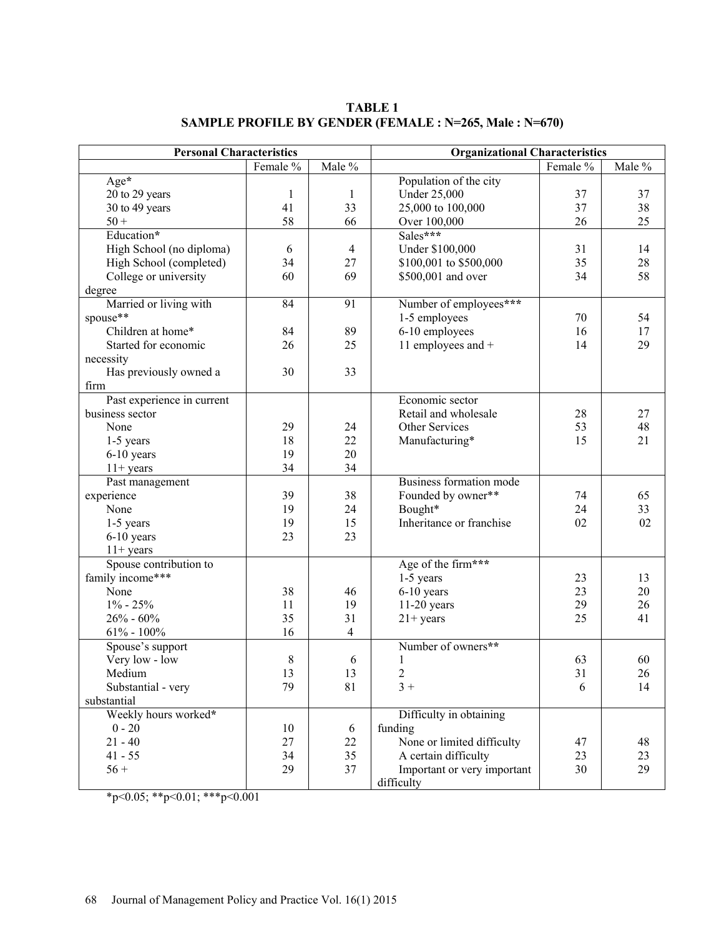| <b>Personal Characteristics</b> |          |                | <b>Organizational Characteristics</b> |          |        |  |
|---------------------------------|----------|----------------|---------------------------------------|----------|--------|--|
|                                 | Female % | Male %         |                                       | Female % | Male % |  |
| Age*                            |          |                | Population of the city                |          |        |  |
| 20 to 29 years                  | 1        | 1              | <b>Under 25,000</b>                   | 37       | 37     |  |
| 30 to 49 years                  | 41       | 33             | 25,000 to 100,000                     | 37       | 38     |  |
| $50 +$                          | 58       | 66             | Over 100,000                          | 26       | 25     |  |
| Education*                      |          |                | Sales***                              |          |        |  |
| High School (no diploma)        | 6        | $\overline{4}$ | Under \$100,000                       | 31       | 14     |  |
| High School (completed)         | 34       | 27             | \$100,001 to \$500,000                | 35       | 28     |  |
| College or university           | 60       | 69             | \$500,001 and over                    | 34       | 58     |  |
| degree                          |          |                |                                       |          |        |  |
| Married or living with          | 84       | 91             | Number of employees***                |          |        |  |
| spouse**                        |          |                | 1-5 employees                         | 70       | 54     |  |
| Children at home*               | 84       | 89             | 6-10 employees                        | 16       | 17     |  |
| Started for economic            | 26       | 25             | 11 employees and +                    | 14       | 29     |  |
| necessity                       |          |                |                                       |          |        |  |
| Has previously owned a          | 30       | 33             |                                       |          |        |  |
| firm                            |          |                |                                       |          |        |  |
| Past experience in current      |          |                | Economic sector                       |          |        |  |
| business sector                 |          |                | Retail and wholesale                  | 28       | 27     |  |
| None                            | 29       | 24             | Other Services                        | 53       | 48     |  |
| 1-5 years                       | 18       | 22             | Manufacturing*                        | 15       | 21     |  |
| 6-10 years                      | 19       | 20             |                                       |          |        |  |
| $11+ years$                     | 34       | 34             |                                       |          |        |  |
| Past management                 |          |                | Business formation mode               |          |        |  |
| experience                      | 39       | 38             | Founded by owner**                    | 74       | 65     |  |
| None                            | 19       | 24             | Bought*                               | 24       | 33     |  |
| 1-5 years                       | 19       | 15             | Inheritance or franchise              | 02       | 02     |  |
| $6-10$ years                    | 23       | 23             |                                       |          |        |  |
| $11+ years$                     |          |                |                                       |          |        |  |
| Spouse contribution to          |          |                | Age of the firm***                    |          |        |  |
| family income***                |          |                | $1-5$ years                           | 23       | 13     |  |
| None                            | 38       | 46             | $6-10$ years                          | 23       | 20     |  |
| $1\% - 25\%$                    | 11       | 19             | $11-20$ years                         | 29       | 26     |  |
| $26\% - 60\%$                   | 35       | 31             | $21+ \text{years}$                    | 25       | 41     |  |
| $61\% - 100\%$                  | 16       | 4              |                                       |          |        |  |
| Spouse's support                |          |                | Number of owners**                    |          |        |  |
| Very low - low                  | 8        | 6              | 1                                     | 63       | 60     |  |
| Medium                          | 13       | 13             | $\overline{c}$                        | 31       | 26     |  |
| Substantial - very              | 79       | 81             | $3+$                                  | 6        | 14     |  |
| substantial                     |          |                |                                       |          |        |  |
| Weekly hours worked*            |          |                | Difficulty in obtaining               |          |        |  |
| $0 - 20$                        | 10       | 6              | funding                               |          |        |  |
| $21 - 40$                       | 27       | 22             | None or limited difficulty            | 47       | 48     |  |
| $41 - 55$                       | 34       | 35             | A certain difficulty                  | 23       | 23     |  |
| $56 +$                          | 29       | 37             | Important or very important           | 30       | 29     |  |
|                                 |          |                | difficulty                            |          |        |  |

**TABLE 1 SAMPLE PROFILE BY GENDER (FEMALE : N=265, Male : N=670)** 

\*p<0.05; \*\*p<0.01; \*\*\*p<0.001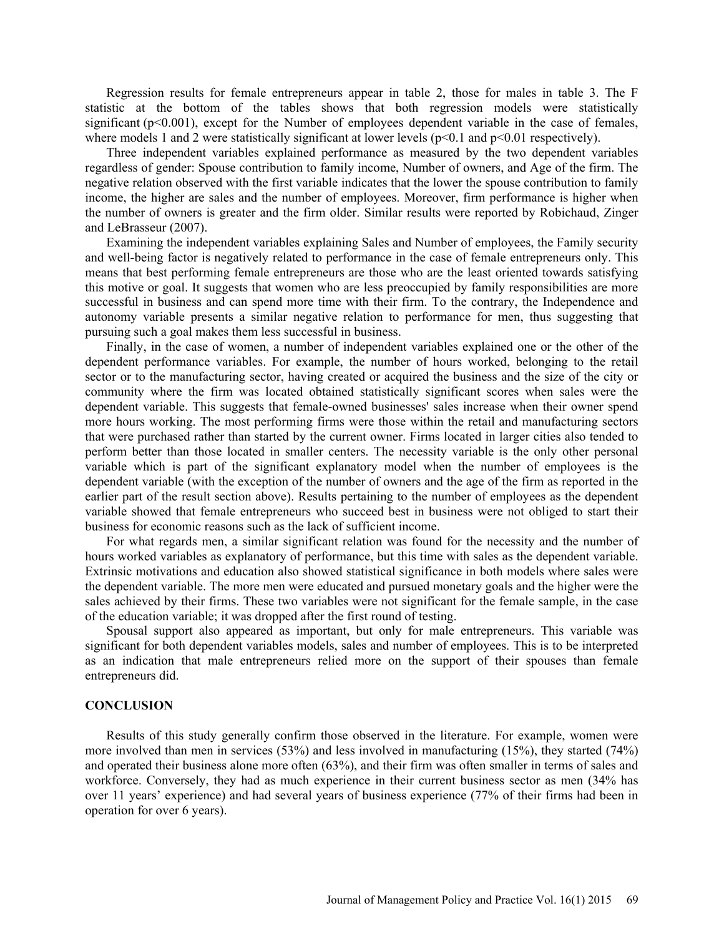Regression results for female entrepreneurs appear in table 2, those for males in table 3. The F statistic at the bottom of the tables shows that both regression models were statistically significant  $(p<0.001)$ , except for the Number of employees dependent variable in the case of females, where models 1 and 2 were statistically significant at lower levels  $(p<0.1$  and  $p<0.01$  respectively).

Three independent variables explained performance as measured by the two dependent variables regardless of gender: Spouse contribution to family income, Number of owners, and Age of the firm. The negative relation observed with the first variable indicates that the lower the spouse contribution to family income, the higher are sales and the number of employees. Moreover, firm performance is higher when the number of owners is greater and the firm older. Similar results were reported by Robichaud, Zinger and LeBrasseur (2007).

Examining the independent variables explaining Sales and Number of employees, the Family security and well-being factor is negatively related to performance in the case of female entrepreneurs only. This means that best performing female entrepreneurs are those who are the least oriented towards satisfying this motive or goal. It suggests that women who are less preoccupied by family responsibilities are more successful in business and can spend more time with their firm. To the contrary, the Independence and autonomy variable presents a similar negative relation to performance for men, thus suggesting that pursuing such a goal makes them less successful in business.

Finally, in the case of women, a number of independent variables explained one or the other of the dependent performance variables. For example, the number of hours worked, belonging to the retail sector or to the manufacturing sector, having created or acquired the business and the size of the city or community where the firm was located obtained statistically significant scores when sales were the dependent variable. This suggests that female-owned businesses' sales increase when their owner spend more hours working. The most performing firms were those within the retail and manufacturing sectors that were purchased rather than started by the current owner. Firms located in larger cities also tended to perform better than those located in smaller centers. The necessity variable is the only other personal variable which is part of the significant explanatory model when the number of employees is the dependent variable (with the exception of the number of owners and the age of the firm as reported in the earlier part of the result section above). Results pertaining to the number of employees as the dependent variable showed that female entrepreneurs who succeed best in business were not obliged to start their business for economic reasons such as the lack of sufficient income.

For what regards men, a similar significant relation was found for the necessity and the number of hours worked variables as explanatory of performance, but this time with sales as the dependent variable. Extrinsic motivations and education also showed statistical significance in both models where sales were the dependent variable. The more men were educated and pursued monetary goals and the higher were the sales achieved by their firms. These two variables were not significant for the female sample, in the case of the education variable; it was dropped after the first round of testing.

Spousal support also appeared as important, but only for male entrepreneurs. This variable was significant for both dependent variables models, sales and number of employees. This is to be interpreted as an indication that male entrepreneurs relied more on the support of their spouses than female entrepreneurs did.

#### **CONCLUSION**

Results of this study generally confirm those observed in the literature. For example, women were more involved than men in services (53%) and less involved in manufacturing (15%), they started (74%) and operated their business alone more often (63%), and their firm was often smaller in terms of sales and workforce. Conversely, they had as much experience in their current business sector as men (34% has over 11 years' experience) and had several years of business experience (77% of their firms had been in operation for over 6 years).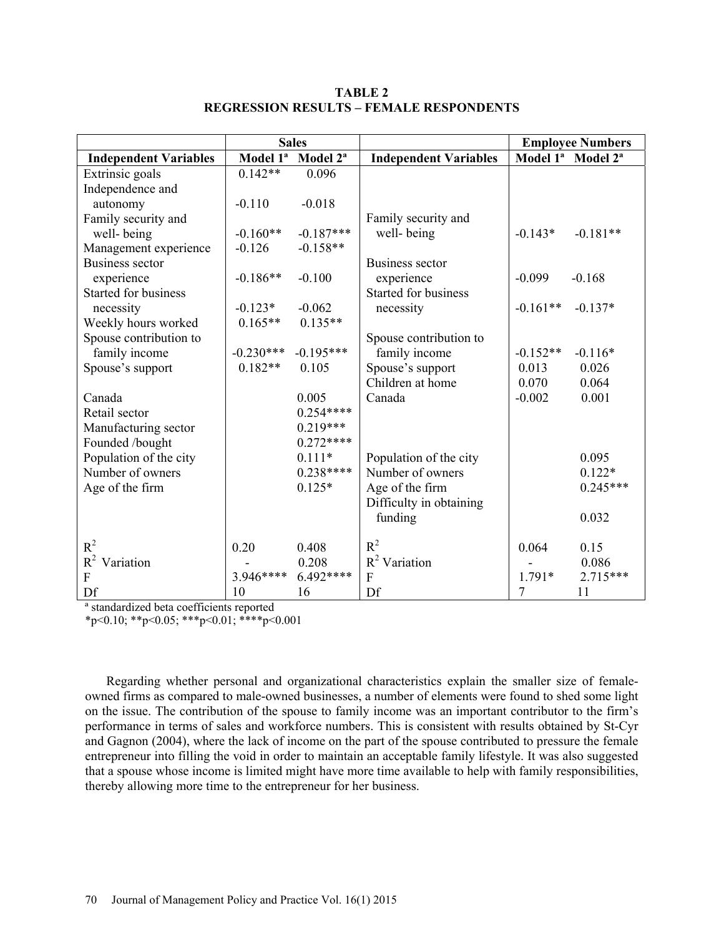|                              | <b>Sales</b>         |                      |                              | <b>Employee Numbers</b> |                                           |
|------------------------------|----------------------|----------------------|------------------------------|-------------------------|-------------------------------------------|
| <b>Independent Variables</b> | Model 1 <sup>a</sup> | Model 2 <sup>a</sup> | <b>Independent Variables</b> |                         | Model 1 <sup>ª</sup> Model 2 <sup>ª</sup> |
| Extrinsic goals              | $0.142**$            | 0.096                |                              |                         |                                           |
| Independence and             |                      |                      |                              |                         |                                           |
| autonomy                     | $-0.110$             | $-0.018$             |                              |                         |                                           |
| Family security and          |                      |                      | Family security and          |                         |                                           |
| well-being                   | $-0.160**$           | $-0.187***$          | well-being                   | $-0.143*$               | $-0.181**$                                |
| Management experience        | $-0.126$             | $-0.158**$           |                              |                         |                                           |
| <b>Business sector</b>       |                      |                      | <b>Business sector</b>       |                         |                                           |
| experience                   | $-0.186**$           | $-0.100$             | experience                   | $-0.099$                | $-0.168$                                  |
| <b>Started for business</b>  |                      |                      | <b>Started for business</b>  |                         |                                           |
| necessity                    | $-0.123*$            | $-0.062$             | necessity                    | $-0.161**$              | $-0.137*$                                 |
| Weekly hours worked          | $0.165**$            | $0.135**$            |                              |                         |                                           |
| Spouse contribution to       |                      |                      | Spouse contribution to       |                         |                                           |
| family income                | $-0.230***$          | $-0.195***$          | family income                | $-0.152**$              | $-0.116*$                                 |
| Spouse's support             | $0.182**$            | 0.105                | Spouse's support             | 0.013                   | 0.026                                     |
|                              |                      |                      | Children at home             | 0.070                   | 0.064                                     |
| Canada                       |                      | 0.005                | Canada                       | $-0.002$                | 0.001                                     |
| Retail sector                |                      | $0.254***$           |                              |                         |                                           |
| Manufacturing sector         |                      | $0.219***$           |                              |                         |                                           |
| Founded /bought              |                      | $0.272***$           |                              |                         |                                           |
| Population of the city       |                      | $0.111*$             | Population of the city       |                         | 0.095                                     |
| Number of owners             |                      | $0.238***$           | Number of owners             |                         | $0.122*$                                  |
| Age of the firm              |                      | $0.125*$             | Age of the firm              |                         | $0.245***$                                |
|                              |                      |                      | Difficulty in obtaining      |                         |                                           |
|                              |                      |                      | funding                      |                         | 0.032                                     |
| $R^2$                        | 0.20                 | 0.408                | $R^2$                        | 0.064                   | 0.15                                      |
| $R^2$<br>Variation           |                      | 0.208                | $R^2$ Variation              |                         | 0.086                                     |
| F                            | 3.946****            | $6.492***$           | F                            | $1.791*$                | 2.715***                                  |
| Df                           | 10                   | 16                   | Df                           | 7                       | 11                                        |

## **TABLE 2 REGRESSION RESULTS – FEMALE RESPONDENTS**

ª standardized beta coefficients reported

 $*p<0.10$ ;  $*p<0.05$ ;  $**p<0.01$ ;  $***p<0.001$ 

Regarding whether personal and organizational characteristics explain the smaller size of femaleowned firms as compared to male-owned businesses, a number of elements were found to shed some light on the issue. The contribution of the spouse to family income was an important contributor to the firm's performance in terms of sales and workforce numbers. This is consistent with results obtained by St-Cyr and Gagnon (2004), where the lack of income on the part of the spouse contributed to pressure the female entrepreneur into filling the void in order to maintain an acceptable family lifestyle. It was also suggested that a spouse whose income is limited might have more time available to help with family responsibilities, thereby allowing more time to the entrepreneur for her business.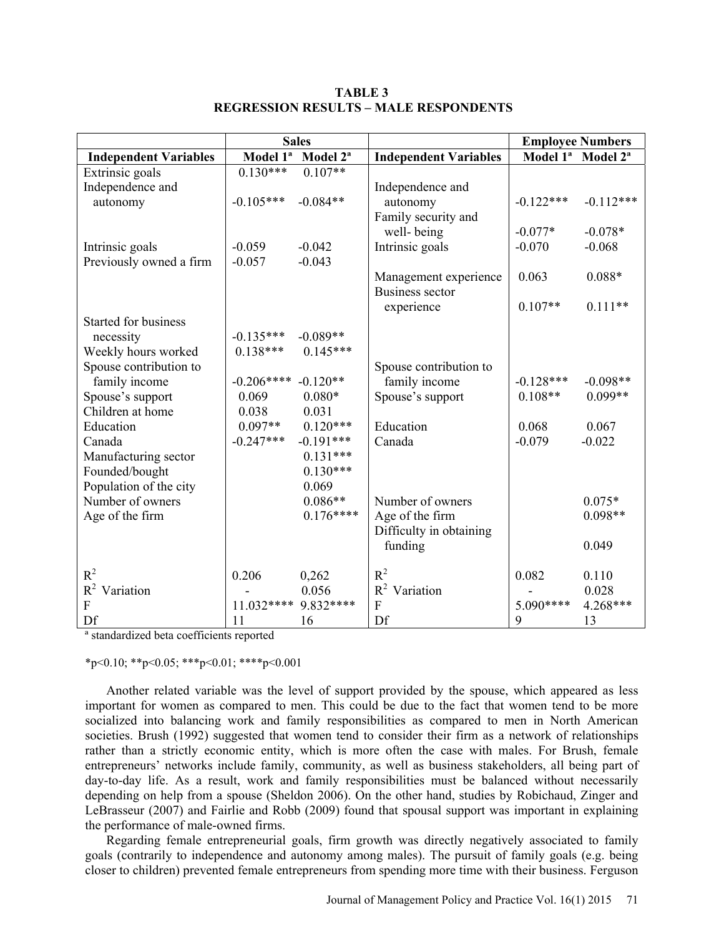|                              | <b>Sales</b>          |                                           |                              | <b>Employee Numbers</b> |                                           |
|------------------------------|-----------------------|-------------------------------------------|------------------------------|-------------------------|-------------------------------------------|
| <b>Independent Variables</b> |                       | Model 1 <sup>ª</sup> Model 2 <sup>ª</sup> | <b>Independent Variables</b> |                         | Model 1 <sup>ª</sup> Model 2 <sup>ª</sup> |
| Extrinsic goals              | $0.130***$            | $0.107**$                                 |                              |                         |                                           |
| Independence and             |                       |                                           | Independence and             |                         |                                           |
| autonomy                     | $-0.105***$           | $-0.084**$                                | autonomy                     | $-0.122***$             | $-0.112***$                               |
|                              |                       |                                           | Family security and          |                         |                                           |
|                              |                       |                                           | well-being                   | $-0.077*$               | $-0.078*$                                 |
| Intrinsic goals              | $-0.059$              | $-0.042$                                  | Intrinsic goals              | $-0.070$                | $-0.068$                                  |
| Previously owned a firm      | $-0.057$              | $-0.043$                                  |                              |                         |                                           |
|                              |                       |                                           | Management experience        | 0.063                   | $0.088*$                                  |
|                              |                       |                                           | <b>Business sector</b>       |                         |                                           |
|                              |                       |                                           | experience                   | $0.107**$               | $0.111**$                                 |
| Started for business         |                       |                                           |                              |                         |                                           |
| necessity                    | $-0.135***$           | $-0.089**$                                |                              |                         |                                           |
| Weekly hours worked          | $0.138***$            | $0.145***$                                |                              |                         |                                           |
| Spouse contribution to       |                       |                                           | Spouse contribution to       |                         |                                           |
| family income                | $-0.206**** -0.120**$ |                                           | family income                | $-0.128***$             | $-0.098**$                                |
| Spouse's support             | 0.069                 | $0.080*$                                  | Spouse's support             | $0.108**$               | $0.099**$                                 |
| Children at home             | 0.038                 | 0.031                                     |                              |                         |                                           |
| Education                    | $0.097**$             | $0.120***$                                | Education                    | 0.068                   | 0.067                                     |
| Canada                       | $-0.247***$           | $-0.191***$                               | Canada                       | $-0.079$                | $-0.022$                                  |
| Manufacturing sector         |                       | $0.131***$                                |                              |                         |                                           |
| Founded/bought               |                       | $0.130***$                                |                              |                         |                                           |
| Population of the city       |                       | 0.069                                     |                              |                         |                                           |
| Number of owners             |                       | $0.086**$                                 | Number of owners             |                         | $0.075*$                                  |
| Age of the firm              |                       | $0.176***$                                | Age of the firm              |                         | $0.098**$                                 |
|                              |                       |                                           | Difficulty in obtaining      |                         |                                           |
|                              |                       |                                           | funding                      |                         | 0.049                                     |
|                              |                       |                                           |                              |                         |                                           |
| $R^2$                        | 0.206                 | 0,262                                     | $R^2$                        | 0.082                   | 0.110                                     |
| $R^2$<br>Variation           |                       | 0.056                                     | $R^2$ Variation              |                         | 0.028                                     |
| F                            | 11.032**** 9.832****  |                                           | F                            | 5.090****               | 4.268***                                  |
| Df                           | 11                    | 16                                        | Df                           | 9                       | 13                                        |

**TABLE 3 REGRESSION RESULTS – MALE RESPONDENTS** 

ª standardized beta coefficients reported

 $*p<0.10$ ;  $*p<0.05$ ;  $**p<0.01$ ;  $***p<0.001$ 

Another related variable was the level of support provided by the spouse, which appeared as less important for women as compared to men. This could be due to the fact that women tend to be more socialized into balancing work and family responsibilities as compared to men in North American societies. Brush (1992) suggested that women tend to consider their firm as a network of relationships rather than a strictly economic entity, which is more often the case with males. For Brush, female entrepreneurs' networks include family, community, as well as business stakeholders, all being part of day-to-day life. As a result, work and family responsibilities must be balanced without necessarily depending on help from a spouse (Sheldon 2006). On the other hand, studies by Robichaud, Zinger and LeBrasseur (2007) and Fairlie and Robb (2009) found that spousal support was important in explaining the performance of male-owned firms.

Regarding female entrepreneurial goals, firm growth was directly negatively associated to family goals (contrarily to independence and autonomy among males). The pursuit of family goals (e.g. being closer to children) prevented female entrepreneurs from spending more time with their business. Ferguson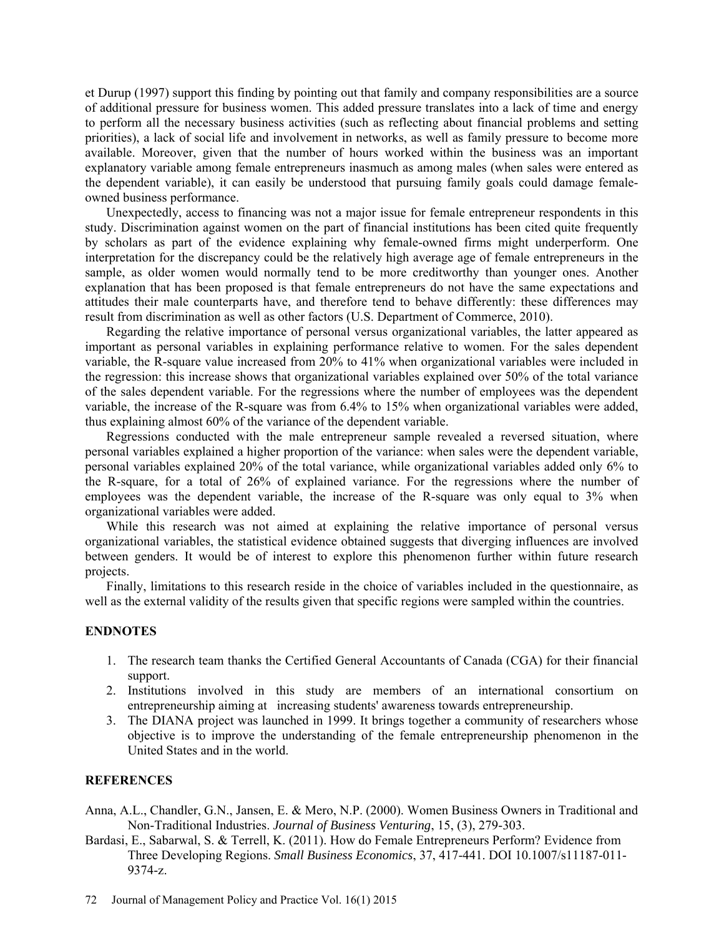et Durup (1997) support this finding by pointing out that family and company responsibilities are a source of additional pressure for business women. This added pressure translates into a lack of time and energy to perform all the necessary business activities (such as reflecting about financial problems and setting priorities), a lack of social life and involvement in networks, as well as family pressure to become more available. Moreover, given that the number of hours worked within the business was an important explanatory variable among female entrepreneurs inasmuch as among males (when sales were entered as the dependent variable), it can easily be understood that pursuing family goals could damage femaleowned business performance.

Unexpectedly, access to financing was not a major issue for female entrepreneur respondents in this study. Discrimination against women on the part of financial institutions has been cited quite frequently by scholars as part of the evidence explaining why female-owned firms might underperform. One interpretation for the discrepancy could be the relatively high average age of female entrepreneurs in the sample, as older women would normally tend to be more creditworthy than younger ones. Another explanation that has been proposed is that female entrepreneurs do not have the same expectations and attitudes their male counterparts have, and therefore tend to behave differently: these differences may result from discrimination as well as other factors (U.S. Department of Commerce, 2010).

Regarding the relative importance of personal versus organizational variables, the latter appeared as important as personal variables in explaining performance relative to women. For the sales dependent variable, the R-square value increased from 20% to 41% when organizational variables were included in the regression: this increase shows that organizational variables explained over 50% of the total variance of the sales dependent variable. For the regressions where the number of employees was the dependent variable, the increase of the R-square was from 6.4% to 15% when organizational variables were added, thus explaining almost 60% of the variance of the dependent variable.

Regressions conducted with the male entrepreneur sample revealed a reversed situation, where personal variables explained a higher proportion of the variance: when sales were the dependent variable, personal variables explained 20% of the total variance, while organizational variables added only 6% to the R-square, for a total of 26% of explained variance. For the regressions where the number of employees was the dependent variable, the increase of the R-square was only equal to 3% when organizational variables were added.

While this research was not aimed at explaining the relative importance of personal versus organizational variables, the statistical evidence obtained suggests that diverging influences are involved between genders. It would be of interest to explore this phenomenon further within future research projects.

Finally, limitations to this research reside in the choice of variables included in the questionnaire, as well as the external validity of the results given that specific regions were sampled within the countries.

# **ENDNOTES**

- 1. The research team thanks the Certified General Accountants of Canada (CGA) for their financial support.
- 2. Institutions involved in this study are members of an international consortium on entrepreneurship aiming at increasing students' awareness towards entrepreneurship.
- 3. The DIANA project was launched in 1999. It brings together a community of researchers whose objective is to improve the understanding of the female entrepreneurship phenomenon in the United States and in the world.

# **REFERENCES**

- Anna, A.L., Chandler, G.N., Jansen, E. & Mero, N.P. (2000). Women Business Owners in Traditional and Non-Traditional Industries. *Journal of Business Venturing*, 15, (3), 279-303.
- Bardasi, E., Sabarwal, S. & Terrell, K. (2011). How do Female Entrepreneurs Perform? Evidence from Three Developing Regions. *Small Business Economics*, 37, 417-441. DOI 10.1007/s11187-011- 9374-z.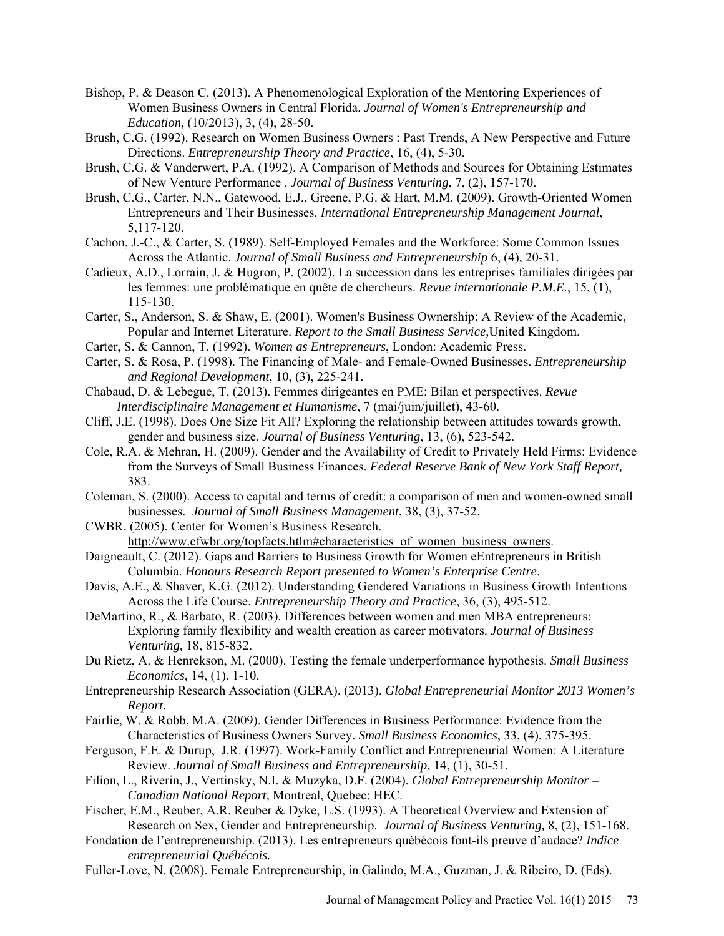- Bishop, P. & Deason C. (2013). A Phenomenological Exploration of the Mentoring Experiences of Women Business Owners in Central Florida. *Journal of Women's Entrepreneurship and Education,* (10/2013), 3, (4), 28-50.
- Brush, C.G. (1992). Research on Women Business Owners : Past Trends, A New Perspective and Future Directions. *Entrepreneurship Theory and Practice*, 16, (4), 5-30.
- Brush, C.G. & Vanderwert, P.A. (1992). A Comparison of Methods and Sources for Obtaining Estimates of New Venture Performance . *Journal of Business Venturing*, 7, (2), 157-170.
- Brush, C.G., Carter, N.N., Gatewood, E.J., Greene, P.G. & Hart, M.M. (2009). Growth-Oriented Women Entrepreneurs and Their Businesses. *International Entrepreneurship Management Journal*, 5,117-120.
- Cachon, J.-C., & Carter, S. (1989). Self-Employed Females and the Workforce: Some Common Issues Across the Atlantic. *Journal of Small Business and Entrepreneurship* 6, (4), 20-31.
- Cadieux, A.D., Lorrain, J. & Hugron, P. (2002). La succession dans les entreprises familiales dirigées par les femmes: une problématique en quête de chercheurs. *Revue internationale P.M.E.*, 15, (1), 115-130.
- Carter, S., Anderson, S. & Shaw, E. (2001). Women's Business Ownership: A Review of the Academic, Popular and Internet Literature. *Report to the Small Business Service,*United Kingdom.
- Carter, S. & Cannon, T. (1992). *Women as Entrepreneurs*, London: Academic Press.
- Carter, S. & Rosa, P. (1998). The Financing of Male- and Female-Owned Businesses. *Entrepreneurship and Regional Development*, 10, (3), 225-241.
- Chabaud, D. & Lebegue, T. (2013). Femmes dirigeantes en PME: Bilan et perspectives. *Revue Interdisciplinaire Management et Humanisme*, 7 (mai/juin/juillet), 43-60.
- Cliff, J.E. (1998). Does One Size Fit All? Exploring the relationship between attitudes towards growth, gender and business size. *Journal of Business Venturing*, 13, (6), 523-542.
- Cole, R.A. & Mehran, H. (2009). Gender and the Availability of Credit to Privately Held Firms: Evidence from the Surveys of Small Business Finances. *Federal Reserve Bank of New York Staff Report,* 383.
- Coleman, S. (2000). Access to capital and terms of credit: a comparison of men and women-owned small businesses. *Journal of Small Business Management*, 38, (3), 37-52.
- CWBR. (2005). Center for Women's Business Research. http://www.cfwbr.org/topfacts.htlm#characteristics\_of\_women\_business\_owners.
- Daigneault, C. (2012). Gaps and Barriers to Business Growth for Women eEntrepreneurs in British Columbia. *Honours Research Report presented to Women's Enterprise Centre*.
- Davis, A.E., & Shaver, K.G. (2012). Understanding Gendered Variations in Business Growth Intentions Across the Life Course. *Entrepreneurship Theory and Practice*, 36, (3), 495-512.
- DeMartino, R., & Barbato, R. (2003). Differences between women and men MBA entrepreneurs: Exploring family flexibility and wealth creation as career motivators. *Journal of Business Venturing,* 18, 815-832.
- Du Rietz, A. & Henrekson, M. (2000). Testing the female underperformance hypothesis. *Small Business Economics,* 14, (1), 1-10.
- Entrepreneurship Research Association (GERA). (2013). *Global Entrepreneurial Monitor 2013 Women's Report.*
- Fairlie, W. & Robb, M.A. (2009). Gender Differences in Business Performance: Evidence from the Characteristics of Business Owners Survey. *Small Business Economics*, 33, (4), 375-395.
- Ferguson, F.E. & Durup, J.R. (1997). Work-Family Conflict and Entrepreneurial Women: A Literature Review. *Journal of Small Business and Entrepreneurship*, 14, (1), 30-51.
- Filion, L., Riverin, J., Vertinsky, N.I. & Muzyka, D.F. (2004). *Global Entrepreneurship Monitor Canadian National Report,* Montreal, Quebec: HEC.
- Fischer, E.M., Reuber, A.R. Reuber & Dyke, L.S. (1993). A Theoretical Overview and Extension of Research on Sex, Gender and Entrepreneurship. *Journal of Business Venturing,* 8, (2), 151-168.
- Fondation de l'entrepreneurship. (2013). Les entrepreneurs québécois font-ils preuve d'audace? *Indice entrepreneurial Québécois.*
- Fuller-Love, N. (2008). Female Entrepreneurship, in Galindo, M.A., Guzman, J. & Ribeiro, D. (Eds).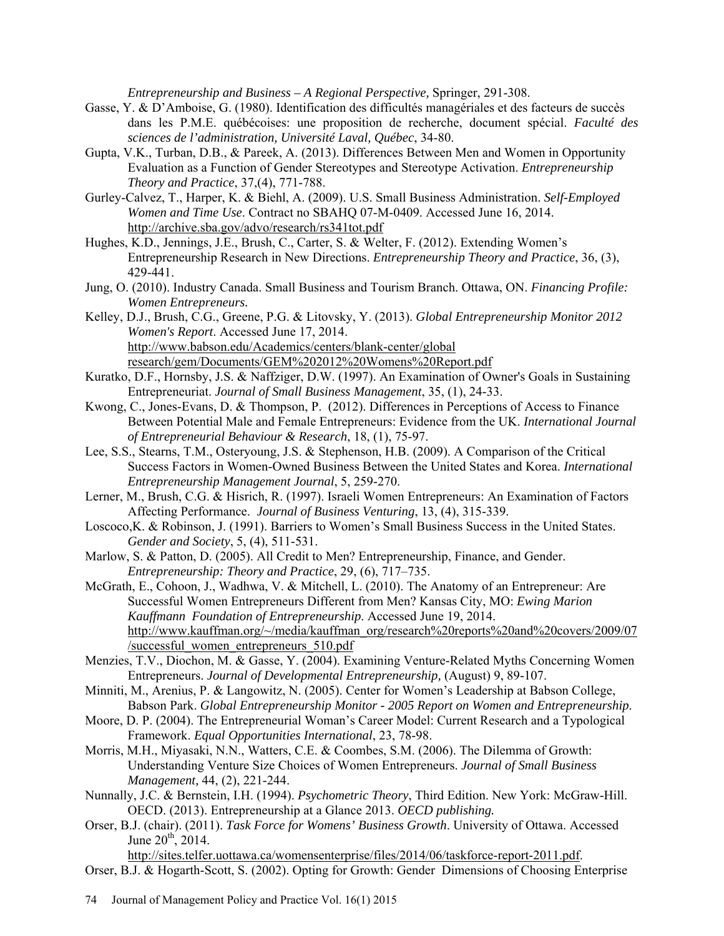*Entrepreneurship and Business – A Regional Perspective,* Springer, 291-308.

- Gasse, Y. & D'Amboise, G. (1980). Identification des difficultés managériales et des facteurs de succès dans les P.M.E. québécoises: une proposition de recherche, document spécial. *Faculté des sciences de l'administration, Université Laval, Québec*, 34-80.
- Gupta, V.K., Turban, D.B., & Pareek, A. (2013). Differences Between Men and Women in Opportunity Evaluation as a Function of Gender Stereotypes and Stereotype Activation. *Entrepreneurship Theory and Practice*, 37,(4), 771-788.
- Gurley-Calvez, T., Harper, K. & Biehl, A. (2009). U.S. Small Business Administration. *Self-Employed Women and Time Use*. Contract no SBAHQ 07-M-0409. Accessed June 16, 2014. http://archive.sba.gov/advo/research/rs341tot.pdf
- Hughes, K.D., Jennings, J.E., Brush, C., Carter, S. & Welter, F. (2012). Extending Women's Entrepreneurship Research in New Directions. *Entrepreneurship Theory and Practice*, 36, (3), 429-441.
- Jung, O. (2010). Industry Canada. Small Business and Tourism Branch. Ottawa, ON. *Financing Profile: Women Entrepreneurs.*
- Kelley, D.J., Brush, C.G., Greene, P.G. & Litovsky, Y. (2013). *Global Entrepreneurship Monitor 2012 Women's Report*. Accessed June 17, 2014. http://www.babson.edu/Academics/centers/blank-center/global research/gem/Documents/GEM%202012%20Womens%20Report.pdf
- Kuratko, D.F., Hornsby, J.S. & Naffziger, D.W. (1997). An Examination of Owner's Goals in Sustaining Entrepreneuriat. *Journal of Small Business Management*, 35, (1), 24-33.
- Kwong, C., Jones-Evans, D. & Thompson, P. (2012). Differences in Perceptions of Access to Finance Between Potential Male and Female Entrepreneurs: Evidence from the UK. *International Journal of Entrepreneurial Behaviour & Research*, 18, (1), 75-97.
- Lee, S.S., Stearns, T.M., Osteryoung, J.S. & Stephenson, H.B. (2009). A Comparison of the Critical Success Factors in Women-Owned Business Between the United States and Korea. *International Entrepreneurship Management Journal*, 5, 259-270.
- Lerner, M., Brush, C.G. & Hisrich, R. (1997). Israeli Women Entrepreneurs: An Examination of Factors Affecting Performance. *Journal of Business Venturing*, 13, (4), 315-339.
- Loscoco,K. & Robinson, J. (1991). Barriers to Women's Small Business Success in the United States.  *Gender and Society*, 5, (4), 511-531.
- Marlow, S. & Patton, D. (2005). All Credit to Men? Entrepreneurship, Finance, and Gender. *Entrepreneurship: Theory and Practice*, 29, (6), 717–735.
- McGrath, E., Cohoon, J., Wadhwa, V. & Mitchell, L. (2010). The Anatomy of an Entrepreneur: Are Successful Women Entrepreneurs Different from Men? Kansas City, MO: *Ewing Marion Kauffmann Foundation of Entrepreneurship*. Accessed June 19, 2014. http://www.kauffman.org/~/media/kauffman\_org/research%20reports%20and%20covers/2009/07 /successful\_women\_entrepreneurs\_510.pdf
- Menzies, T.V., Diochon, M. & Gasse, Y. (2004). Examining Venture-Related Myths Concerning Women Entrepreneurs. *Journal of Developmental Entrepreneurship,* (August) 9, 89-107.
- Minniti, M., Arenius, P. & Langowitz, N. (2005). Center for Women's Leadership at Babson College, Babson Park. *Global Entrepreneurship Monitor - 2005 Report on Women and Entrepreneurship*.
- Moore, D. P. (2004). The Entrepreneurial Woman's Career Model: Current Research and a Typological Framework. *Equal Opportunities International*, 23, 78-98.
- Morris, M.H., Miyasaki, N.N., Watters, C.E. & Coombes, S.M. (2006). The Dilemma of Growth: Understanding Venture Size Choices of Women Entrepreneurs. *Journal of Small Business Management,* 44, (2), 221-244.
- Nunnally, J.C. & Bernstein, I.H. (1994). *Psychometric Theory*, Third Edition. New York: McGraw-Hill. OECD. (2013). Entrepreneurship at a Glance 2013. *OECD publishing.*
- Orser, B.J. (chair). (2011). *Task Force for Womens' Business Growth*. University of Ottawa. Accessed June  $20^{th}$ ,  $2014$ .

http://sites.telfer.uottawa.ca/womensenterprise/files/2014/06/taskforce-report-2011.pdf. Orser, B.J. & Hogarth-Scott, S. (2002). Opting for Growth: Gender Dimensions of Choosing Enterprise